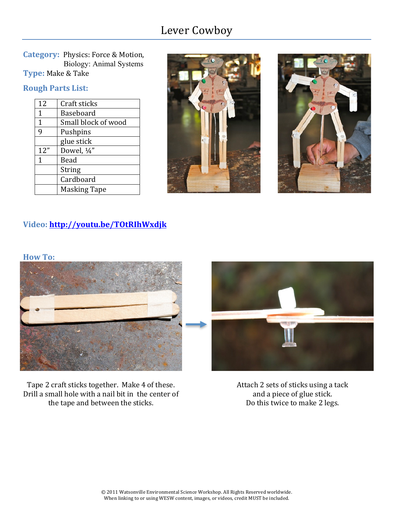# Lever Cowboy

**Category: Physics: Force & Motion,**  Biology: Animal Systems **Type: Make & Take** 

#### **Rough Parts List:**

| Craft sticks        |
|---------------------|
| Baseboard           |
| Small block of wood |
| Pushpins            |
| glue stick          |
| Dowel, 1/4"         |
| Bead                |
| String              |
| Cardboard           |
| <b>Masking Tape</b> |
|                     |





# **Video:\*http://youtu.be/TOtRIhWxdjk**



Tape 2 craft sticks together. Make 4 of these. Drill a small hole with a nail bit in the center of the tape and between the sticks.

Attach 2 sets of sticks using a tack and a piece of glue stick. Do this twice to make 2 legs.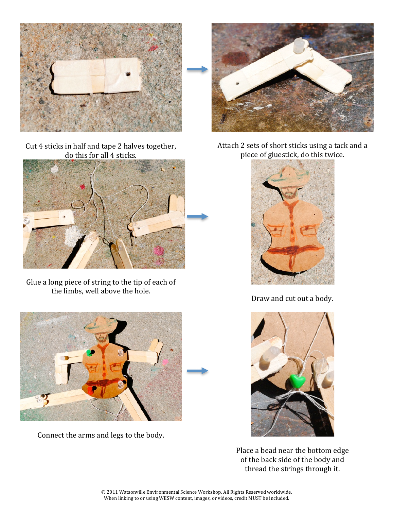

Cut 4 sticks in half and tape 2 halves together, do this for all 4 sticks.



Glue a long piece of string to the tip of each of the limbs, well above the hole.



Connect the arms and legs to the body.



Attach 2 sets of short sticks using a tack and a piece of gluestick, do this twice.



Draw and cut out a body.



Place a bead near the bottom edge of the back side of the body and thread the strings through it.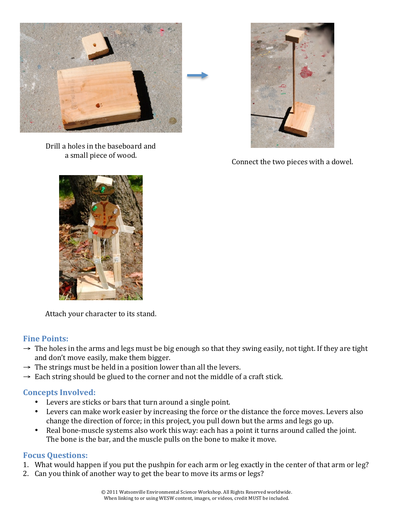

Drill a holes in the baseboard and



a small piece of wood.  $\blacksquare$  connect the two pieces with a dowel.



Attach your character to its stand.

#### **Fine Points:**

- $\rightarrow$  The holes in the arms and legs must be big enough so that they swing easily, not tight. If they are tight and don't move easily, make them bigger.
- $\rightarrow$  The strings must be held in a position lower than all the levers.
- $\rightarrow$  Each string should be glued to the corner and not the middle of a craft stick.

#### **Concepts Involved:**

- Levers are sticks or bars that turn around a single point.
- Levers can make work easier by increasing the force or the distance the force moves. Levers also change the direction of force; in this project, you pull down but the arms and legs go up.
- Real bone-muscle systems also work this way: each has a point it turns around called the joint. The bone is the bar, and the muscle pulls on the bone to make it move.

#### **Focus Questions:**

- 1. What would happen if you put the pushpin for each arm or leg exactly in the center of that arm or leg?
- 2. Can you think of another way to get the bear to move its arms or legs?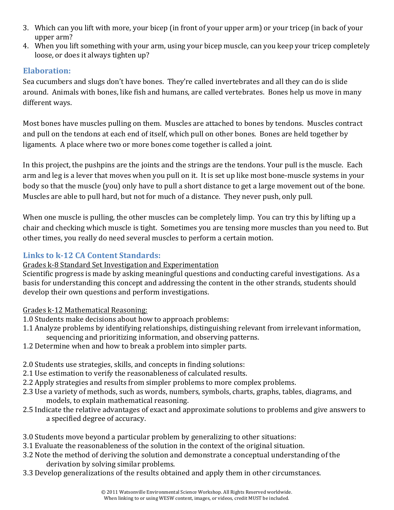- 3. Which can you lift with more, your bicep (in front of your upper arm) or your tricep (in back of your upper arm?
- 4. When you lift something with your arm, using your bicep muscle, can you keep your tricep completely loose, or does it always tighten up?

## **Elaboration:**

Sea cucumbers and slugs don't have bones. They're called invertebrates and all they can do is slide around. "Animals with bones, like fish and humans, are called vertebrates." Bones help us move in many different ways.

Most bones have muscles pulling on them. Muscles are attached to bones by tendons. Muscles contract and pull on the tendons at each end of itself, which pull on other bones. Bones are held together by ligaments. A place where two or more bones come together is called a joint.

In this project, the pushpins are the joints and the strings are the tendons. Your pull is the muscle. Each arm and leg is a lever that moves when you pull on it. It is set up like most bone-muscle systems in your body so that the muscle (you) only have to pull a short distance to get a large movement out of the bone. Muscles are able to pull hard, but not for much of a distance. They never push, only pull.

When one muscle is pulling, the other muscles can be completely limp. You can try this by lifting up a chair and checking which muscle is tight. Sometimes you are tensing more muscles than you need to. But other times, you really do need several muscles to perform a certain motion.

## **Links to k-12 CA Content Standards:**

#### Grades k-8 Standard Set Investigation and Experimentation

Scientific progress is made by asking meaningful questions and conducting careful investigations. As a basis for understanding this concept and addressing the content in the other strands, students should develop their own questions and perform investigations.

Grades k-12 Mathematical Reasoning:

- 1.0 Students make decisions about how to approach problems:
- 1.1 Analyze problems by identifying relationships, distinguishing relevant from irrelevant information, sequencing and prioritizing information, and observing patterns.
- 1.2 Determine when and how to break a problem into simpler parts.
- 2.0 Students use strategies, skills, and concepts in finding solutions:
- 2.1 Use estimation to verify the reasonableness of calculated results.
- 2.2 Apply strategies and results from simpler problems to more complex problems.
- 2.3" Use a variety of methods, such as words, numbers, symbols, charts, graphs, tables, diagrams, and models, to explain mathematical reasoning.
- 2.5 Indicate the relative advantages of exact and approximate solutions to problems and give answers to a specified degree of accuracy.
- 3.0 Students move beyond a particular problem by generalizing to other situations:
- 3.1 Evaluate the reasonableness of the solution in the context of the original situation.
- 3.2 Note the method of deriving the solution and demonstrate a conceptual understanding of the derivation by solving similar problems.
- 3.3 Develop generalizations of the results obtained and apply them in other circumstances.